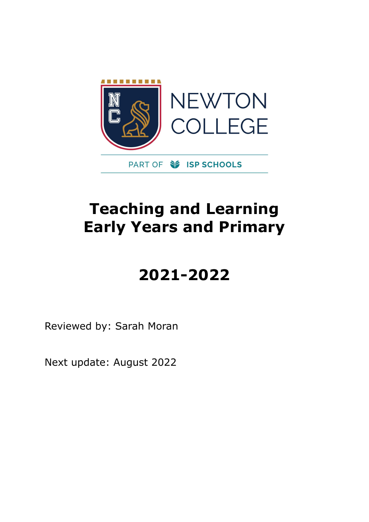

## **Teaching and Learning Early Years and Primary**

# **2021-2022**

Reviewed by: Sarah Moran

Next update: August 2022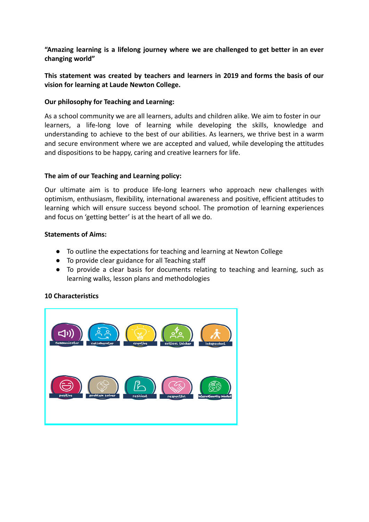**"Amazing learning is a lifelong journey where we are challenged to get better in an ever changing world"**

**This statement was created by teachers and learners in 2019 and forms the basis of our vision for learning at Laude Newton College.**

#### **Our philosophy for Teaching and Learning:**

As a school community we are all learners, adults and children alike. We aim to foster in our learners, a life-long love of learning while developing the skills, knowledge and understanding to achieve to the best of our abilities. As learners, we thrive best in a warm and secure environment where we are accepted and valued, while developing the attitudes and dispositions to be happy, caring and creative learners for life.

#### **The aim of our Teaching and Learning policy:**

Our ultimate aim is to produce life-long learners who approach new challenges with optimism, enthusiasm, flexibility, international awareness and positive, efficient attitudes to learning which will ensure success beyond school. The promotion of learning experiences and focus on 'getting better' is at the heart of all we do.

#### **Statements of Aims:**

- To outline the expectations for teaching and learning at Newton College
- To provide clear guidance for all Teaching staff
- To provide a clear basis for documents relating to teaching and learning, such as learning walks, lesson plans and methodologies

## **10 Characteristics**

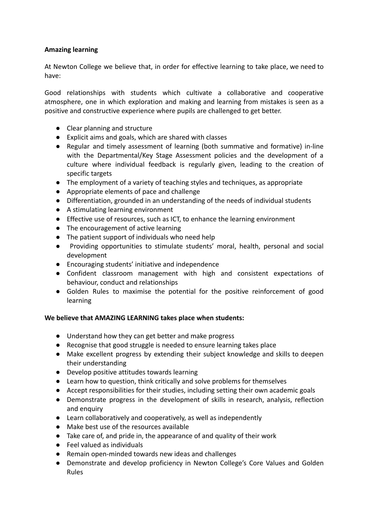## **Amazing learning**

At Newton College we believe that, in order for effective learning to take place, we need to have:

Good relationships with students which cultivate a collaborative and cooperative atmosphere, one in which exploration and making and learning from mistakes is seen as a positive and constructive experience where pupils are challenged to get better.

- Clear planning and structure
- Explicit aims and goals, which are shared with classes
- Regular and timely assessment of learning (both summative and formative) in-line with the Departmental/Key Stage Assessment policies and the development of a culture where individual feedback is regularly given, leading to the creation of specific targets
- The employment of a variety of teaching styles and techniques, as appropriate
- Appropriate elements of pace and challenge
- Differentiation, grounded in an understanding of the needs of individual students
- A stimulating learning environment
- Effective use of resources, such as ICT, to enhance the learning environment
- The encouragement of active learning
- The patient support of individuals who need help
- Providing opportunities to stimulate students' moral, health, personal and social development
- Encouraging students' initiative and independence
- Confident classroom management with high and consistent expectations of behaviour, conduct and relationships
- Golden Rules to maximise the potential for the positive reinforcement of good learning

#### **We believe that AMAZING LEARNING takes place when students:**

- Understand how they can get better and make progress
- Recognise that good struggle is needed to ensure learning takes place
- Make excellent progress by extending their subject knowledge and skills to deepen their understanding
- Develop positive attitudes towards learning
- Learn how to question, think critically and solve problems for themselves
- Accept responsibilities for their studies, including setting their own academic goals
- Demonstrate progress in the development of skills in research, analysis, reflection and enquiry
- Learn collaboratively and cooperatively, as well as independently
- Make best use of the resources available
- Take care of, and pride in, the appearance of and quality of their work
- Feel valued as individuals
- Remain open-minded towards new ideas and challenges
- Demonstrate and develop proficiency in Newton College's Core Values and Golden Rules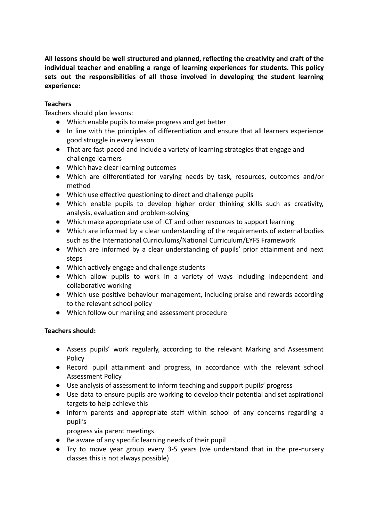**All lessons should be well structured and planned, reflecting the creativity and craft of the individual teacher and enabling a range of learning experiences for students. This policy sets out the responsibilities of all those involved in developing the student learning experience:**

## **Teachers**

Teachers should plan lessons:

- Which enable pupils to make progress and get better
- In line with the principles of differentiation and ensure that all learners experience good struggle in every lesson
- That are fast-paced and include a variety of learning strategies that engage and challenge learners
- Which have clear learning outcomes
- Which are differentiated for varying needs by task, resources, outcomes and/or method
- Which use effective questioning to direct and challenge pupils
- Which enable pupils to develop higher order thinking skills such as creativity, analysis, evaluation and problem-solving
- Which make appropriate use of ICT and other resources to support learning
- Which are informed by a clear understanding of the requirements of external bodies such as the International Curriculums/National Curriculum/EYFS Framework
- Which are informed by a clear understanding of pupils' prior attainment and next steps
- Which actively engage and challenge students
- Which allow pupils to work in a variety of ways including independent and collaborative working
- Which use positive behaviour management, including praise and rewards according to the relevant school policy
- Which follow our marking and assessment procedure

## **Teachers should:**

- Assess pupils' work regularly, according to the relevant Marking and Assessment Policy
- Record pupil attainment and progress, in accordance with the relevant school Assessment Policy
- Use analysis of assessment to inform teaching and support pupils' progress
- Use data to ensure pupils are working to develop their potential and set aspirational targets to help achieve this
- Inform parents and appropriate staff within school of any concerns regarding a pupil's
	- progress via parent meetings.
- Be aware of any specific learning needs of their pupil
- Try to move year group every 3-5 years (we understand that in the pre-nursery classes this is not always possible)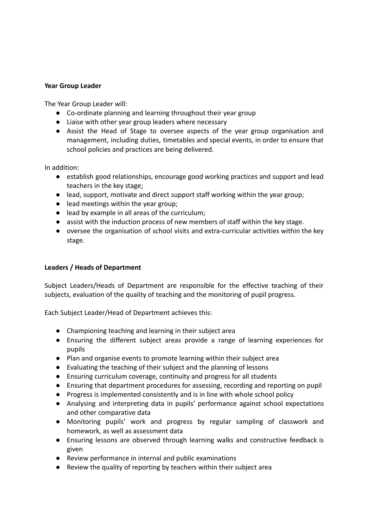#### **Year Group Leader**

The Year Group Leader will:

- Co-ordinate planning and learning throughout their year group
- Liaise with other year group leaders where necessary
- Assist the Head of Stage to oversee aspects of the year group organisation and management, including duties, timetables and special events, in order to ensure that school policies and practices are being delivered.

In addition:

- establish good relationships, encourage good working practices and support and lead teachers in the key stage;
- lead, support, motivate and direct support staff working within the year group;
- lead meetings within the year group;
- lead by example in all areas of the curriculum;
- assist with the induction process of new members of staff within the key stage.
- oversee the organisation of school visits and extra-curricular activities within the key stage.

## **Leaders / Heads of Department**

Subject Leaders/Heads of Department are responsible for the effective teaching of their subjects, evaluation of the quality of teaching and the monitoring of pupil progress.

Each Subject Leader/Head of Department achieves this:

- Championing teaching and learning in their subject area
- Ensuring the different subject areas provide a range of learning experiences for pupils
- Plan and organise events to promote learning within their subject area
- Evaluating the teaching of their subject and the planning of lessons
- Ensuring curriculum coverage, continuity and progress for all students
- Ensuring that department procedures for assessing, recording and reporting on pupil
- Progress is implemented consistently and is in line with whole school policy
- Analysing and interpreting data in pupils' performance against school expectations and other comparative data
- Monitoring pupils' work and progress by regular sampling of classwork and homework, as well as assessment data
- Ensuring lessons are observed through learning walks and constructive feedback is given
- Review performance in internal and public examinations
- Review the quality of reporting by teachers within their subject area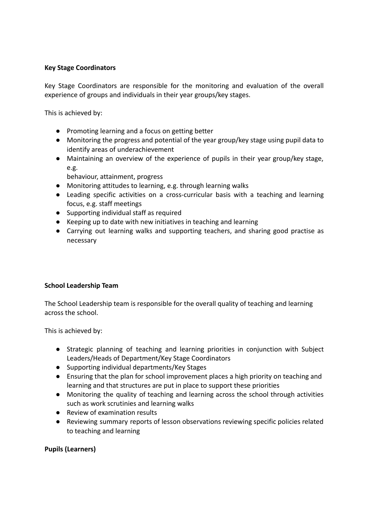#### **Key Stage Coordinators**

Key Stage Coordinators are responsible for the monitoring and evaluation of the overall experience of groups and individuals in their year groups/key stages.

This is achieved by:

- Promoting learning and a focus on getting better
- Monitoring the progress and potential of the year group/key stage using pupil data to identify areas of underachievement
- Maintaining an overview of the experience of pupils in their year group/key stage, e.g.

behaviour, attainment, progress

- Monitoring attitudes to learning, e.g. through learning walks
- Leading specific activities on a cross-curricular basis with a teaching and learning focus, e.g. staff meetings
- Supporting individual staff as required
- Keeping up to date with new initiatives in teaching and learning
- Carrying out learning walks and supporting teachers, and sharing good practise as necessary

## **School Leadership Team**

The School Leadership team is responsible for the overall quality of teaching and learning across the school.

This is achieved by:

- Strategic planning of teaching and learning priorities in conjunction with Subject Leaders/Heads of Department/Key Stage Coordinators
- Supporting individual departments/Key Stages
- Ensuring that the plan for school improvement places a high priority on teaching and learning and that structures are put in place to support these priorities
- Monitoring the quality of teaching and learning across the school through activities such as work scrutinies and learning walks
- Review of examination results
- Reviewing summary reports of lesson observations reviewing specific policies related to teaching and learning

## **Pupils (Learners)**